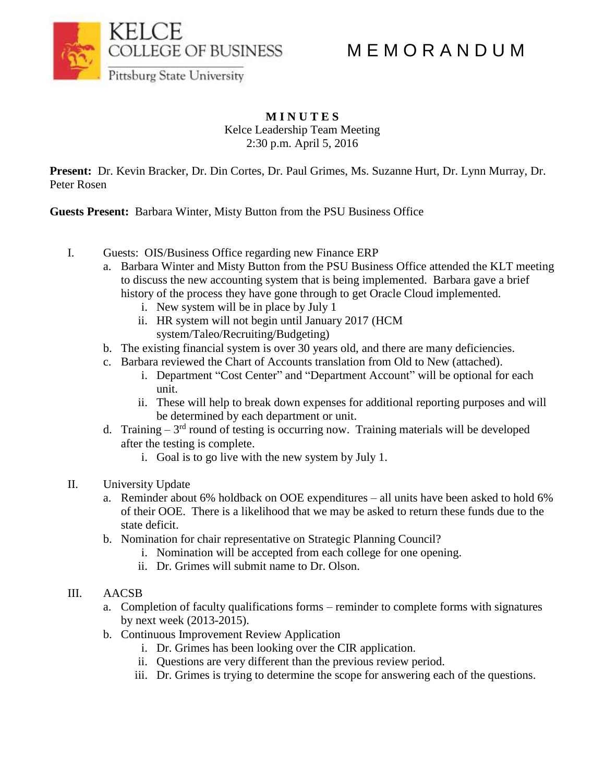M E M O R A N D U M



## **M I N U T E S** Kelce Leadership Team Meeting 2:30 p.m. April 5, 2016

**Present:** Dr. Kevin Bracker, Dr. Din Cortes, Dr. Paul Grimes, Ms. Suzanne Hurt, Dr. Lynn Murray, Dr. Peter Rosen

**Guests Present:** Barbara Winter, Misty Button from the PSU Business Office

- I. Guests: OIS/Business Office regarding new Finance ERP
	- a. Barbara Winter and Misty Button from the PSU Business Office attended the KLT meeting to discuss the new accounting system that is being implemented. Barbara gave a brief history of the process they have gone through to get Oracle Cloud implemented.
		- i. New system will be in place by July 1
		- ii. HR system will not begin until January 2017 (HCM
			- system/Taleo/Recruiting/Budgeting)
	- b. The existing financial system is over 30 years old, and there are many deficiencies.
	- c. Barbara reviewed the Chart of Accounts translation from Old to New (attached).
		- i. Department "Cost Center" and "Department Account" will be optional for each unit.
		- ii. These will help to break down expenses for additional reporting purposes and will be determined by each department or unit.
	- d. Training  $-3^{rd}$  round of testing is occurring now. Training materials will be developed after the testing is complete.
		- i. Goal is to go live with the new system by July 1.
- II. University Update
	- a. Reminder about 6% holdback on OOE expenditures all units have been asked to hold 6% of their OOE. There is a likelihood that we may be asked to return these funds due to the state deficit.
	- b. Nomination for chair representative on Strategic Planning Council?
		- i. Nomination will be accepted from each college for one opening.
		- ii. Dr. Grimes will submit name to Dr. Olson.

# III. AACSB

- a. Completion of faculty qualifications forms reminder to complete forms with signatures by next week (2013-2015).
- b. Continuous Improvement Review Application
	- i. Dr. Grimes has been looking over the CIR application.
	- ii. Questions are very different than the previous review period.
	- iii. Dr. Grimes is trying to determine the scope for answering each of the questions.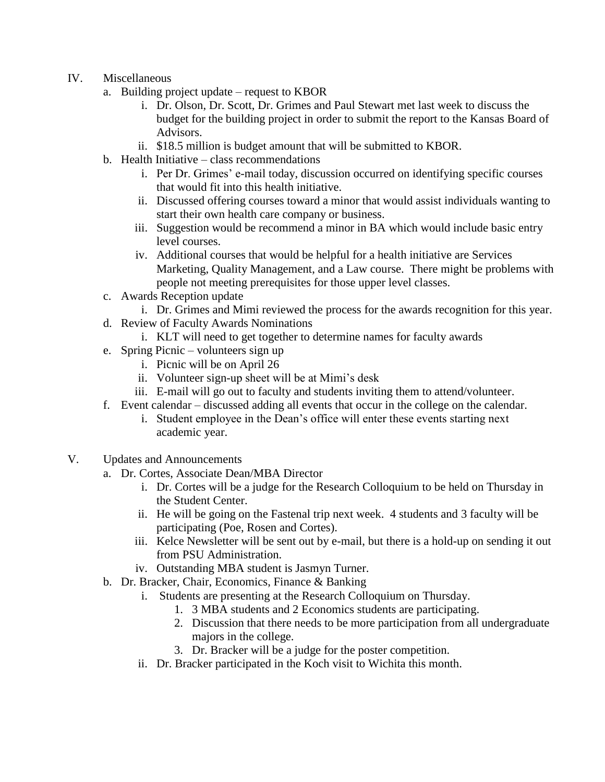- IV. Miscellaneous
	- a. Building project update request to KBOR
		- i. Dr. Olson, Dr. Scott, Dr. Grimes and Paul Stewart met last week to discuss the budget for the building project in order to submit the report to the Kansas Board of Advisors.
		- ii. \$18.5 million is budget amount that will be submitted to KBOR.
	- b. Health Initiative class recommendations
		- i. Per Dr. Grimes' e-mail today, discussion occurred on identifying specific courses that would fit into this health initiative.
		- ii. Discussed offering courses toward a minor that would assist individuals wanting to start their own health care company or business.
		- iii. Suggestion would be recommend a minor in BA which would include basic entry level courses.
		- iv. Additional courses that would be helpful for a health initiative are Services Marketing, Quality Management, and a Law course. There might be problems with people not meeting prerequisites for those upper level classes.
	- c. Awards Reception update
		- i. Dr. Grimes and Mimi reviewed the process for the awards recognition for this year.
	- d. Review of Faculty Awards Nominations
		- i. KLT will need to get together to determine names for faculty awards
	- e. Spring Picnic volunteers sign up
		- i. Picnic will be on April 26
		- ii. Volunteer sign-up sheet will be at Mimi's desk
		- iii. E-mail will go out to faculty and students inviting them to attend/volunteer.
	- f. Event calendar discussed adding all events that occur in the college on the calendar.
		- i. Student employee in the Dean's office will enter these events starting next academic year.
- V. Updates and Announcements
	- a. Dr. Cortes, Associate Dean/MBA Director
		- i. Dr. Cortes will be a judge for the Research Colloquium to be held on Thursday in the Student Center.
		- ii. He will be going on the Fastenal trip next week. 4 students and 3 faculty will be participating (Poe, Rosen and Cortes).
		- iii. Kelce Newsletter will be sent out by e-mail, but there is a hold-up on sending it out from PSU Administration.
		- iv. Outstanding MBA student is Jasmyn Turner.
	- b. Dr. Bracker, Chair, Economics, Finance & Banking
		- i. Students are presenting at the Research Colloquium on Thursday.
			- 1. 3 MBA students and 2 Economics students are participating.
			- 2. Discussion that there needs to be more participation from all undergraduate majors in the college.
			- 3. Dr. Bracker will be a judge for the poster competition.
		- ii. Dr. Bracker participated in the Koch visit to Wichita this month.